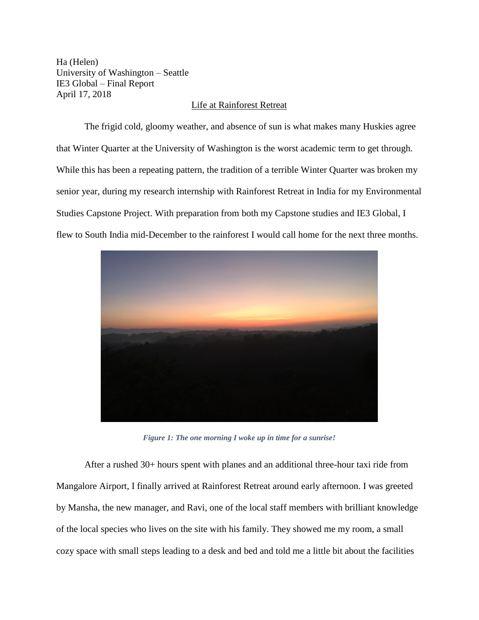Ha (Helen) University of Washington – Seattle IE3 Global – Final Report April 17, 2018

## Life at Rainforest Retreat

The frigid cold, gloomy weather, and absence of sun is what makes many Huskies agree that Winter Quarter at the University of Washington is the worst academic term to get through. While this has been a repeating pattern, the tradition of a terrible Winter Quarter was broken my senior year, during my research internship with Rainforest Retreat in India for my Environmental Studies Capstone Project. With preparation from both my Capstone studies and IE3 Global, I flew to South India mid-December to the rainforest I would call home for the next three months.



*Figure 1: The one morning I woke up in time for a sunrise!*

After a rushed 30+ hours spent with planes and an additional three-hour taxi ride from Mangalore Airport, I finally arrived at Rainforest Retreat around early afternoon. I was greeted by Mansha, the new manager, and Ravi, one of the local staff members with brilliant knowledge of the local species who lives on the site with his family. They showed me my room, a small cozy space with small steps leading to a desk and bed and told me a little bit about the facilities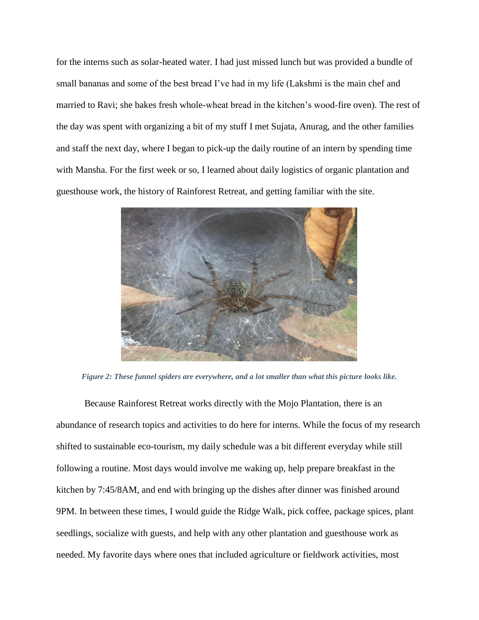for the interns such as solar-heated water. I had just missed lunch but was provided a bundle of small bananas and some of the best bread I've had in my life (Lakshmi is the main chef and married to Ravi; she bakes fresh whole-wheat bread in the kitchen's wood-fire oven). The rest of the day was spent with organizing a bit of my stuff I met Sujata, Anurag, and the other families and staff the next day, where I began to pick-up the daily routine of an intern by spending time with Mansha. For the first week or so, I learned about daily logistics of organic plantation and guesthouse work, the history of Rainforest Retreat, and getting familiar with the site.



*Figure 2: These funnel spiders are everywhere, and a lot smaller than what this picture looks like.*

Because Rainforest Retreat works directly with the Mojo Plantation, there is an abundance of research topics and activities to do here for interns. While the focus of my research shifted to sustainable eco-tourism, my daily schedule was a bit different everyday while still following a routine. Most days would involve me waking up, help prepare breakfast in the kitchen by 7:45/8AM, and end with bringing up the dishes after dinner was finished around 9PM. In between these times, I would guide the Ridge Walk, pick coffee, package spices, plant seedlings, socialize with guests, and help with any other plantation and guesthouse work as needed. My favorite days where ones that included agriculture or fieldwork activities, most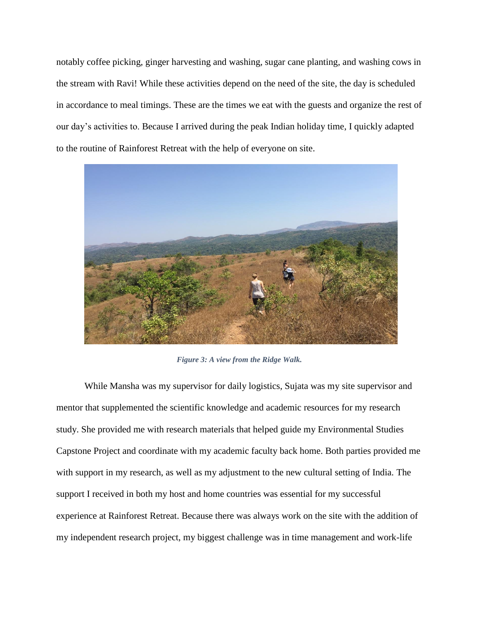notably coffee picking, ginger harvesting and washing, sugar cane planting, and washing cows in the stream with Ravi! While these activities depend on the need of the site, the day is scheduled in accordance to meal timings. These are the times we eat with the guests and organize the rest of our day's activities to. Because I arrived during the peak Indian holiday time, I quickly adapted to the routine of Rainforest Retreat with the help of everyone on site.



*Figure 3: A view from the Ridge Walk.*

While Mansha was my supervisor for daily logistics, Sujata was my site supervisor and mentor that supplemented the scientific knowledge and academic resources for my research study. She provided me with research materials that helped guide my Environmental Studies Capstone Project and coordinate with my academic faculty back home. Both parties provided me with support in my research, as well as my adjustment to the new cultural setting of India. The support I received in both my host and home countries was essential for my successful experience at Rainforest Retreat. Because there was always work on the site with the addition of my independent research project, my biggest challenge was in time management and work-life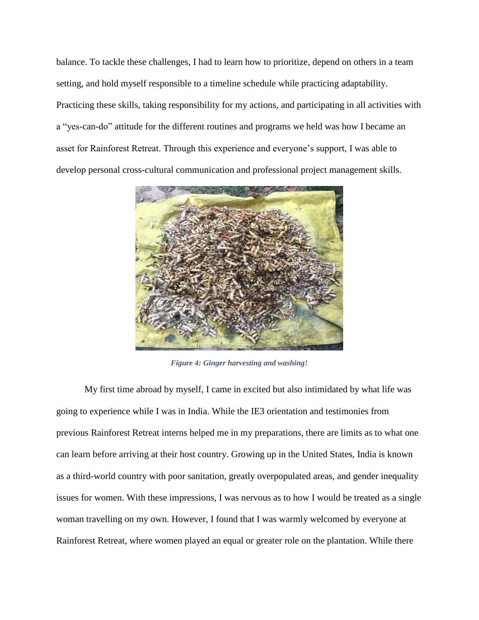balance. To tackle these challenges, I had to learn how to prioritize, depend on others in a team setting, and hold myself responsible to a timeline schedule while practicing adaptability. Practicing these skills, taking responsibility for my actions, and participating in all activities with a "yes-can-do" attitude for the different routines and programs we held was how I became an asset for Rainforest Retreat. Through this experience and everyone's support, I was able to develop personal cross-cultural communication and professional project management skills.



*Figure 4: Ginger harvesting and washing!*

My first time abroad by myself, I came in excited but also intimidated by what life was going to experience while I was in India. While the IE3 orientation and testimonies from previous Rainforest Retreat interns helped me in my preparations, there are limits as to what one can learn before arriving at their host country. Growing up in the United States, India is known as a third-world country with poor sanitation, greatly overpopulated areas, and gender inequality issues for women. With these impressions, I was nervous as to how I would be treated as a single woman travelling on my own. However, I found that I was warmly welcomed by everyone at Rainforest Retreat, where women played an equal or greater role on the plantation. While there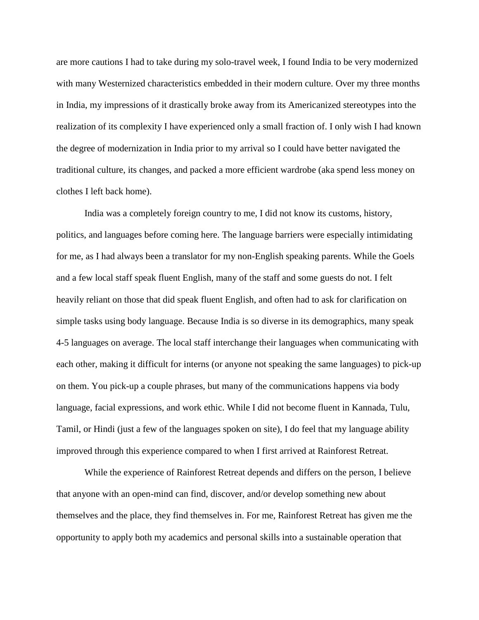are more cautions I had to take during my solo-travel week, I found India to be very modernized with many Westernized characteristics embedded in their modern culture. Over my three months in India, my impressions of it drastically broke away from its Americanized stereotypes into the realization of its complexity I have experienced only a small fraction of. I only wish I had known the degree of modernization in India prior to my arrival so I could have better navigated the traditional culture, its changes, and packed a more efficient wardrobe (aka spend less money on clothes I left back home).

India was a completely foreign country to me, I did not know its customs, history, politics, and languages before coming here. The language barriers were especially intimidating for me, as I had always been a translator for my non-English speaking parents. While the Goels and a few local staff speak fluent English, many of the staff and some guests do not. I felt heavily reliant on those that did speak fluent English, and often had to ask for clarification on simple tasks using body language. Because India is so diverse in its demographics, many speak 4-5 languages on average. The local staff interchange their languages when communicating with each other, making it difficult for interns (or anyone not speaking the same languages) to pick-up on them. You pick-up a couple phrases, but many of the communications happens via body language, facial expressions, and work ethic. While I did not become fluent in Kannada, Tulu, Tamil, or Hindi (just a few of the languages spoken on site), I do feel that my language ability improved through this experience compared to when I first arrived at Rainforest Retreat.

While the experience of Rainforest Retreat depends and differs on the person, I believe that anyone with an open-mind can find, discover, and/or develop something new about themselves and the place, they find themselves in. For me, Rainforest Retreat has given me the opportunity to apply both my academics and personal skills into a sustainable operation that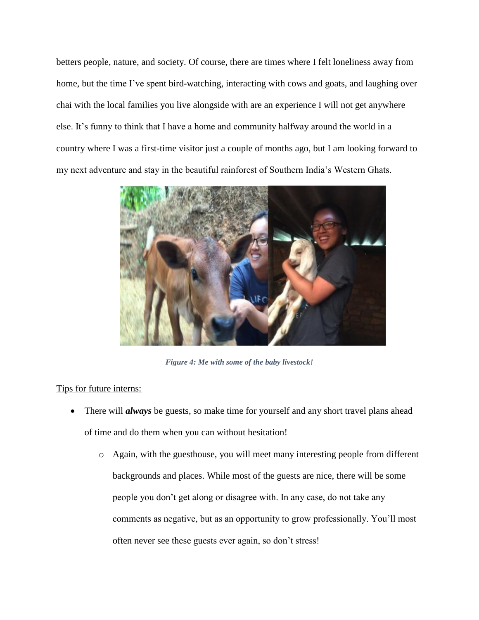betters people, nature, and society. Of course, there are times where I felt loneliness away from home, but the time I've spent bird-watching, interacting with cows and goats, and laughing over chai with the local families you live alongside with are an experience I will not get anywhere else. It's funny to think that I have a home and community halfway around the world in a country where I was a first-time visitor just a couple of months ago, but I am looking forward to my next adventure and stay in the beautiful rainforest of Southern India's Western Ghats.



*Figure 4: Me with some of the baby livestock!*

## Tips for future interns:

- There will *always* be guests, so make time for yourself and any short travel plans ahead of time and do them when you can without hesitation!
	- o Again, with the guesthouse, you will meet many interesting people from different backgrounds and places. While most of the guests are nice, there will be some people you don't get along or disagree with. In any case, do not take any comments as negative, but as an opportunity to grow professionally. You'll most often never see these guests ever again, so don't stress!